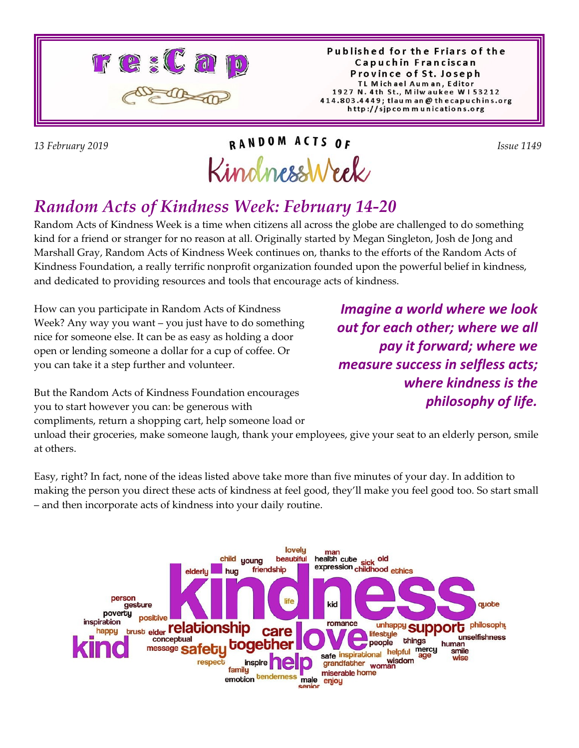

Published for the Friars of the Capuchin Franciscan Province of St. Joseph TL Michael Auman, Editor 1927 N. 4th St., Milwaukee W153212 414.803.4449; tlaum an @ thecapuchins.org http://sjpcommunications.org

# *13 February 2019 Issue 1149*  KindnessWeek

### *Random Acts of Kindness Week: February 14-20*

Random Acts of Kindness Week is a time when citizens all across the globe are challenged to do something kind for a friend or stranger for no reason at all. Originally started by Megan Singleton, Josh de Jong and Marshall Gray, Random Acts of Kindness Week continues on, thanks to the efforts of the Random Acts of Kindness Foundation, a really terrific nonprofit organization founded upon the powerful belief in kindness, and dedicated to providing resources and tools that encourage acts of kindness.

How can you participate in Random Acts of Kindness Week? Any way you want – you just have to do something nice for someone else. It can be as easy as holding a door open or lending someone a dollar for a cup of coffee. Or you can take it a step further and volunteer.

*Imagine a world where we look out for each other; where we all pay it forward; where we measure success in selfless acts; where kindness is the philosophy of life.*

But the Random Acts of Kindness Foundation encourages you to start however you can: be generous with compliments, return a shopping cart, help someone load or

unload their groceries, make someone laugh, thank your employees, give your seat to an elderly person, smile at others.

Easy, right? In fact, none of the ideas listed above take more than five minutes of your day. In addition to making the person you direct these acts of kindness at feel good, they'll make you feel good too. So start small – and then incorporate acts of kindness into your daily routine.

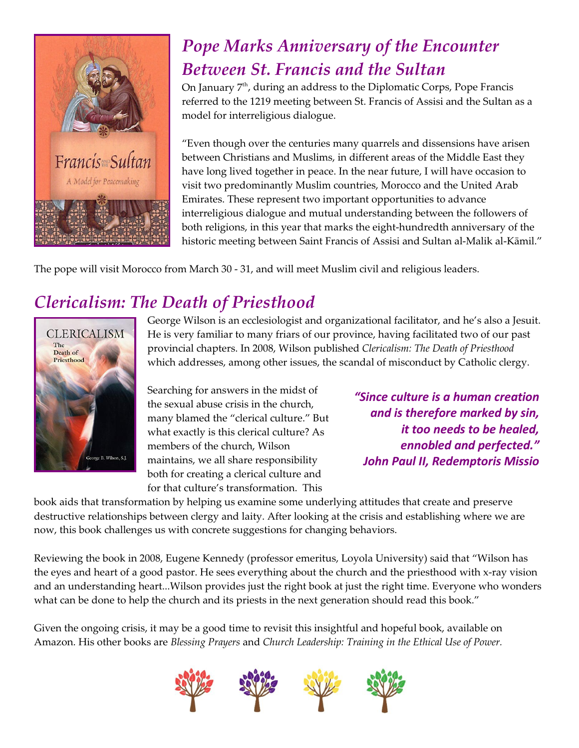

## *Pope Marks Anniversary of the Encounter Between St. Francis and the Sultan*

On January  $7<sup>th</sup>$ , during an address to the Diplomatic Corps, Pope Francis referred to the 1219 meeting between St. Francis of Assisi and the Sultan as a model for interreligious dialogue.

"Even though over the centuries many quarrels and dissensions have arisen between Christians and Muslims, in different areas of the Middle East they have long lived together in peace. In the near future, I will have occasion to visit two predominantly Muslim countries, Morocco and the United Arab Emirates. These represent two important opportunities to advance interreligious dialogue and mutual understanding between the followers of both religions, in this year that marks the eight-hundredth anniversary of the historic meeting between Saint Francis of Assisi and Sultan al-Malik al-Kâmil."

The pope will visit Morocco from March 30 - 31, and will meet Muslim civil and religious leaders.

### *Clericalism: The Death of Priesthood*



George Wilson is an ecclesiologist and organizational facilitator, and he's also a Jesuit. He is very familiar to many friars of our province, having facilitated two of our past provincial chapters. In 2008, Wilson published *Clericalism: The Death of Priesthood* which addresses, among other issues, the scandal of misconduct by Catholic clergy.

Searching for answers in the midst of the sexual abuse crisis in the church, many blamed the "clerical culture." But what exactly is this clerical culture? As members of the church, Wilson maintains, we all share responsibility both for creating a clerical culture and for that culture's transformation. This

*"Since culture is a human creation and is therefore marked by sin, it too needs to be healed, ennobled and perfected." John Paul II, Redemptoris Missio*

book aids that transformation by helping us examine some underlying attitudes that create and preserve destructive relationships between clergy and laity. After looking at the crisis and establishing where we are now, this book challenges us with concrete suggestions for changing behaviors.

Reviewing the book in 2008, Eugene Kennedy (professor emeritus, Loyola University) said that "Wilson has the eyes and heart of a good pastor. He sees everything about the church and the priesthood with x-ray vision and an understanding heart...Wilson provides just the right book at just the right time. Everyone who wonders what can be done to help the church and its priests in the next generation should read this book."

Given the ongoing crisis, it may be a good time to revisit this insightful and hopeful book, available on Amazon. His other books are *Blessing Prayers* and *Church Leadership: Training in the Ethical Use of Power.*

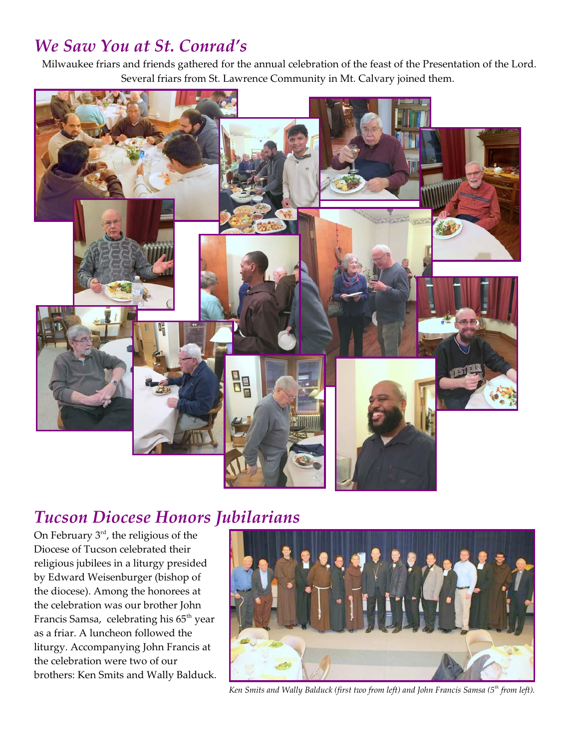#### *We Saw You at St. Conrad's*

Milwaukee friars and friends gathered for the annual celebration of the feast of the Presentation of the Lord. Several friars from St. Lawrence Community in Mt. Calvary joined them.



#### *Tucson Diocese Honors Jubilarians*

On February  $3<sup>rd</sup>$ , the religious of the Diocese of Tucson celebrated their religious jubilees in a liturgy presided by Edward Weisenburger (bishop of the diocese). Among the honorees at the celebration was our brother John Francis Samsa, celebrating his 65<sup>th</sup> year as a friar. A luncheon followed the liturgy. Accompanying John Francis at the celebration were two of our brothers: Ken Smits and Wally Balduck.



*Ken Smits and Wally Balduck (first two from left) and John Francis Samsa (5th from left).*